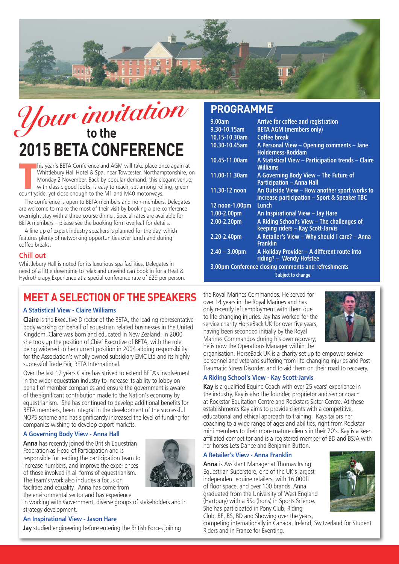

# $\mathcal{Y}$ *our invitation* **to the 2015 BETA CONFERENCE**

his year's BETA Conference and AGM will take place or<br>Whittlebury Hall Hotel & Spa, near Towcester, Northam<br>Monday 2 November. Back by popular demand, this elwith classic good looks, is easy to reach, set among rol<br>country his year's BETA Conference and AGM will take place once again at Whittlebury Hall Hotel & Spa, near Towcester, Northamptonshire, on Monday 2 November. Back by popular demand, this elegant venue, with classic good looks, is easy to reach, set among rolling, green

The conference is open to BETA members and non-members. Delegates are welcome to make the most of their visit by booking a pre-conference overnight stay with a three-course dinner. Special rates are available for BETA members – please see the booking form overleaf for details.

A line-up of expert industry speakers is planned for the day, which features plenty of networking opportunities over lunch and during coffee breaks.

### **Chill out**

Whittlebury Hall is noted for its luxurious spa facilities. Delegates in need of a little downtime to relax and unwind can book in for a Heat & Hydrotherapy Experience at a special conference rate of £29 per person.

## **MEET A SELECTION OF THE SPEAKERS**

### **A Statistical View - Claire Williams**

**Claire** is the Executive Director of the BETA, the leading representative body working on behalf of equestrian related businesses in the United Kingdom. Claire was born and educated in New Zealand. In 2000 she took up the position of Chief Executive of BETA, with the role being widened to her current position in 2004 adding responsibility for the Association's wholly owned subsidiary EMC Ltd and its highly successful Trade Fair, BETA International.

Over the last 12 years Claire has strived to extend BETA's involvement in the wider equestrian industry to increase its ability to lobby on behalf of member companies and ensure the government is aware of the significant contribution made to the Nation's economy by equestrianism. She has continued to develop additional benefits for BETA members, been integral in the development of the successful NOPS scheme and has significantly increased the level of funding for companies wishing to develop export markets.

### **A Governing Body View - Anna Hall**

**Anna** has recently joined the British Equestrian Federation as Head of Participation and is responsible for leading the participation team to increase numbers, and improve the experiences of those involved in all forms of equestrianism. The team's work also includes a focus on facilities and equality. Anna has come from



the environmental sector and has experience

in working with Government, diverse groups of stakeholders and in strategy development.

### **An Inspirational View - Jason Hare**

**Jay** studied engineering before entering the British Forces joining

### **PROGRAMME**

| 9.00am                                              | Arrive for coffee and registration                                                           |  |  |  |
|-----------------------------------------------------|----------------------------------------------------------------------------------------------|--|--|--|
| 9.30-10.15am                                        | <b>BETA AGM (members only)</b>                                                               |  |  |  |
| 10.15-10.30am                                       | Coffee break                                                                                 |  |  |  |
| 10.30-10.45am                                       | A Personal View - Opening comments - Jane<br><b>Holderness-Roddam</b>                        |  |  |  |
| 10.45-11.00am                                       | A Statistical View - Participation trends - Claire<br><b>Williams</b>                        |  |  |  |
| 11.00-11.30am                                       | A Governing Body View - The Future of<br><b>Participation - Anna Hall</b>                    |  |  |  |
| 11.30-12 noon                                       | An Outside View - How another sport works to<br>increase participation - Sport & Speaker TBC |  |  |  |
| 12 noon-1.00pm                                      | Lunch                                                                                        |  |  |  |
| $1.00 - 2.00$ pm                                    | An Inspirational View - Jay Hare                                                             |  |  |  |
| 2.00-2.20pm                                         | A Riding School's View - The challenges of<br>keeping riders - Kay Scott-Jarvis              |  |  |  |
| 2.20-2.40pm                                         | A Retailer's View - Why should I care? - Anna<br><b>Franklin</b>                             |  |  |  |
| $2.40 - 3.00$ pm                                    | A Holiday Provider - A different route into<br>riding? - Wendy Hofstee                       |  |  |  |
| 3.00pm Conference closing comments and refreshments |                                                                                              |  |  |  |
| <b>Subject to change</b>                            |                                                                                              |  |  |  |

the Royal Marines Commandos. He served for over 14 years in the Royal Marines and has only recently left employment with them due to life changing injuries. Jay has worked for the service charity HorseBack UK for over five years, having been seconded initially by the Royal Marines Commandos during his own recovery; he is now the Operations Manager within the



organisation. HorseBack UK is a charity set up to empower service personnel and veterans suffering from life-changing injuries and Post-Traumatic Stress Disorder, and to aid them on their road to recovery.

### **A Riding School's View - Kay Scott-Jarvis**

**Kay** is a qualified Equine Coach with over 25 years' experience in the industry, Kay is also the founder, proprietor and senior coach at Rockstar Equitation Centre and Rockstars Sister Centre. At these establishments Kay aims to provide clients with a competitive, educational and ethical approach to training. Kays tailors her coaching to a wide range of ages and abilities, right from Rockstar mini members to their more mature clients in their 70's. Kay is a keen affiliated competitor and is a registered member of BD and BSJA with her horses Lets Dance and Benjamin Button.

### **A Retailer's View - Anna Franklin**

**Anna** is Assistant Manager at Thomas Irving Equestrian Superstore, one of the UK's largest independent equine retailers, with 16,000ft of floor space, and over 100 brands. Anna graduated from the University of West England (Hartpury) with a BSc (hons) in Sports Science. She has participated in Pony Club, Riding Club, BE, BS, BD and Showing over the years,



competing internationally in Canada, Ireland, Switzerland for Student Riders and in France for Eventing.